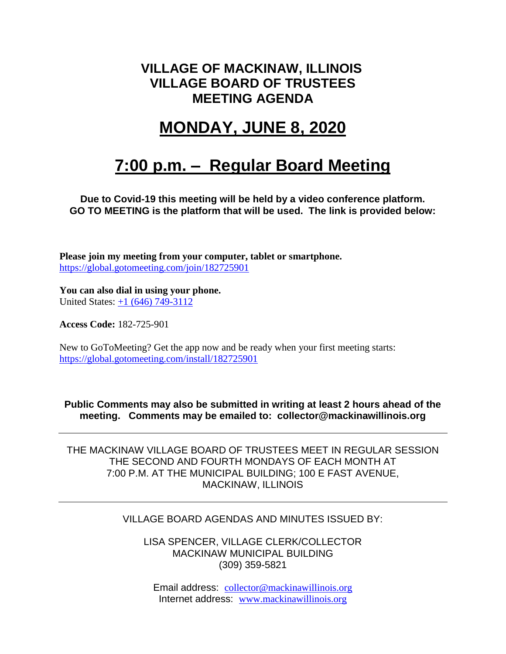### **VILLAGE OF MACKINAW, ILLINOIS VILLAGE BOARD OF TRUSTEES MEETING AGENDA**

# **MONDAY, JUNE 8, 2020**

# **7:00 p.m. – Regular Board Meeting**

**Due to Covid-19 this meeting will be held by a video conference platform. GO TO MEETING is the platform that will be used. The link is provided below:**

**Please join my meeting from your computer, tablet or smartphone.**  <https://global.gotomeeting.com/join/182725901>

**You can also dial in using your phone.**  United States: [+1 \(646\) 749-3112](tel:+16467493112,,182725901)

**Access Code:** 182-725-901

New to GoToMeeting? Get the app now and be ready when your first meeting starts: <https://global.gotomeeting.com/install/182725901>

**Public Comments may also be submitted in writing at least 2 hours ahead of the meeting. Comments may be emailed to: collector@mackinawillinois.org**

THE MACKINAW VILLAGE BOARD OF TRUSTEES MEET IN REGULAR SESSION THE SECOND AND FOURTH MONDAYS OF EACH MONTH AT 7:00 P.M. AT THE MUNICIPAL BUILDING; 100 E FAST AVENUE, MACKINAW, ILLINOIS

#### VILLAGE BOARD AGENDAS AND MINUTES ISSUED BY:

LISA SPENCER, VILLAGE CLERK/COLLECTOR MACKINAW MUNICIPAL BUILDING (309) 359-5821

Email address: [collector@mackinawillinois.org](mailto:collector@mackinawillinois.org) Internet address: [www.mackinawillinois.org](http://www.mackinawillinois.org/)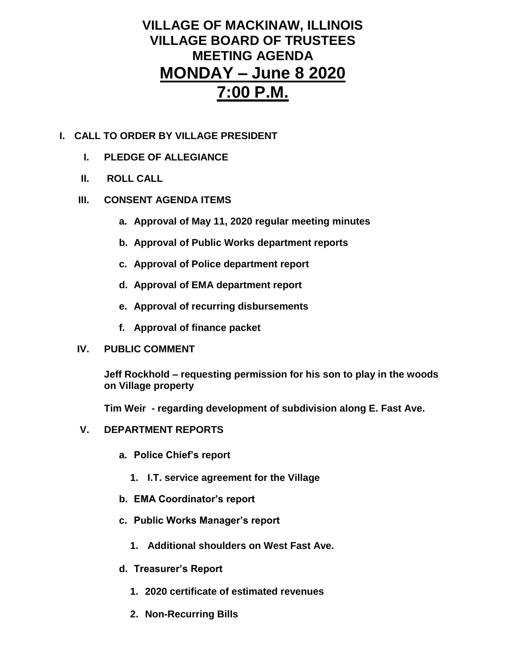### **VILLAGE OF MACKINAW, ILLINOIS VILLAGE BOARD OF TRUSTEES MEETING AGENDA MONDAY – June 8 2020 7:00 P.M.**

- **I. CALL TO ORDER BY VILLAGE PRESIDENT**
	- **I. PLEDGE OF ALLEGIANCE**
	- **II. ROLL CALL**

#### **III. CONSENT AGENDA ITEMS**

- **a. Approval of May 11, 2020 regular meeting minutes**
- **b. Approval of Public Works department reports**
- **c. Approval of Police department report**
- **d. Approval of EMA department report**
- **e. Approval of recurring disbursements**
- **f. Approval of finance packet**

#### **IV. PUBLIC COMMENT**

**Jeff Rockhold – requesting permission for his son to play in the woods on Village property**

**Tim Weir - regarding development of subdivision along E. Fast Ave.** 

#### **V. DEPARTMENT REPORTS**

- **a. Police Chief's report**
	- **1. I.T. service agreement for the Village**
- **b. EMA Coordinator's report**
- **c. Public Works Manager's report**
	- **1. Additional shoulders on West Fast Ave.**
- **d. Treasurer's Report** 
	- **1. 2020 certificate of estimated revenues**
	- **2. Non-Recurring Bills**